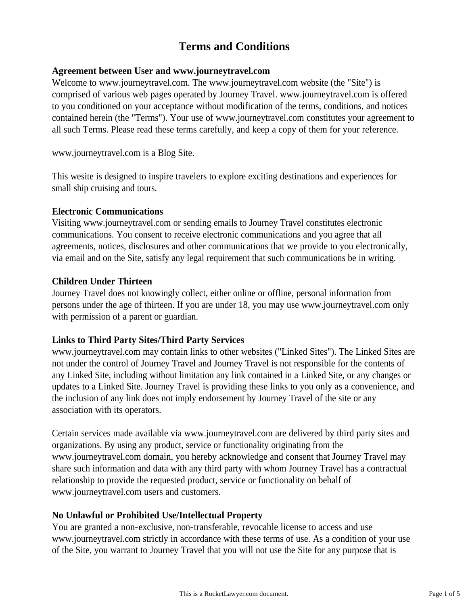# **Terms and Conditions**

#### **Agreement between User and www.journeytravel.com**

Welcome to www.journeytravel.com. The www.journeytravel.com website (the "Site") is comprised of various web pages operated by Journey Travel. www.journeytravel.com is offered to you conditioned on your acceptance without modification of the terms, conditions, and notices contained herein (the "Terms"). Your use of www.journeytravel.com constitutes your agreement to all such Terms. Please read these terms carefully, and keep a copy of them for your reference.

www.journeytravel.com is a Blog Site.

This wesite is designed to inspire travelers to explore exciting destinations and experiences for small ship cruising and tours.

#### **Electronic Communications**

Visiting www.journeytravel.com or sending emails to Journey Travel constitutes electronic communications. You consent to receive electronic communications and you agree that all agreements, notices, disclosures and other communications that we provide to you electronically, via email and on the Site, satisfy any legal requirement that such communications be in writing.

## **Children Under Thirteen**

Journey Travel does not knowingly collect, either online or offline, personal information from persons under the age of thirteen. If you are under 18, you may use www.journeytravel.com only with permission of a parent or guardian.

# **Links to Third Party Sites/Third Party Services**

www.journeytravel.com may contain links to other websites ("Linked Sites"). The Linked Sites are not under the control of Journey Travel and Journey Travel is not responsible for the contents of any Linked Site, including without limitation any link contained in a Linked Site, or any changes or updates to a Linked Site. Journey Travel is providing these links to you only as a convenience, and the inclusion of any link does not imply endorsement by Journey Travel of the site or any association with its operators.

Certain services made available via www.journeytravel.com are delivered by third party sites and organizations. By using any product, service or functionality originating from the www.journeytravel.com domain, you hereby acknowledge and consent that Journey Travel may share such information and data with any third party with whom Journey Travel has a contractual relationship to provide the requested product, service or functionality on behalf of www.journeytravel.com users and customers.

# **No Unlawful or Prohibited Use/Intellectual Property**

You are granted a non-exclusive, non-transferable, revocable license to access and use www.journeytravel.com strictly in accordance with these terms of use. As a condition of your use of the Site, you warrant to Journey Travel that you will not use the Site for any purpose that is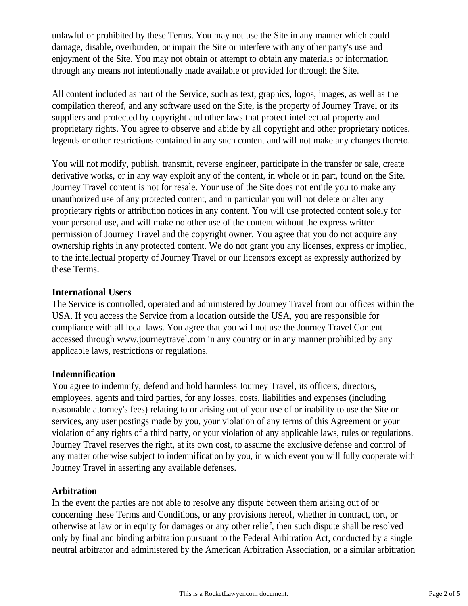unlawful or prohibited by these Terms. You may not use the Site in any manner which could damage, disable, overburden, or impair the Site or interfere with any other party's use and enjoyment of the Site. You may not obtain or attempt to obtain any materials or information through any means not intentionally made available or provided for through the Site.

All content included as part of the Service, such as text, graphics, logos, images, as well as the compilation thereof, and any software used on the Site, is the property of Journey Travel or its suppliers and protected by copyright and other laws that protect intellectual property and proprietary rights. You agree to observe and abide by all copyright and other proprietary notices, legends or other restrictions contained in any such content and will not make any changes thereto.

You will not modify, publish, transmit, reverse engineer, participate in the transfer or sale, create derivative works, or in any way exploit any of the content, in whole or in part, found on the Site. Journey Travel content is not for resale. Your use of the Site does not entitle you to make any unauthorized use of any protected content, and in particular you will not delete or alter any proprietary rights or attribution notices in any content. You will use protected content solely for your personal use, and will make no other use of the content without the express written permission of Journey Travel and the copyright owner. You agree that you do not acquire any ownership rights in any protected content. We do not grant you any licenses, express or implied, to the intellectual property of Journey Travel or our licensors except as expressly authorized by these Terms.

#### **International Users**

The Service is controlled, operated and administered by Journey Travel from our offices within the USA. If you access the Service from a location outside the USA, you are responsible for compliance with all local laws. You agree that you will not use the Journey Travel Content accessed through www.journeytravel.com in any country or in any manner prohibited by any applicable laws, restrictions or regulations.

#### **Indemnification**

You agree to indemnify, defend and hold harmless Journey Travel, its officers, directors, employees, agents and third parties, for any losses, costs, liabilities and expenses (including reasonable attorney's fees) relating to or arising out of your use of or inability to use the Site or services, any user postings made by you, your violation of any terms of this Agreement or your violation of any rights of a third party, or your violation of any applicable laws, rules or regulations. Journey Travel reserves the right, at its own cost, to assume the exclusive defense and control of any matter otherwise subject to indemnification by you, in which event you will fully cooperate with Journey Travel in asserting any available defenses.

#### **Arbitration**

In the event the parties are not able to resolve any dispute between them arising out of or concerning these Terms and Conditions, or any provisions hereof, whether in contract, tort, or otherwise at law or in equity for damages or any other relief, then such dispute shall be resolved only by final and binding arbitration pursuant to the Federal Arbitration Act, conducted by a single neutral arbitrator and administered by the American Arbitration Association, or a similar arbitration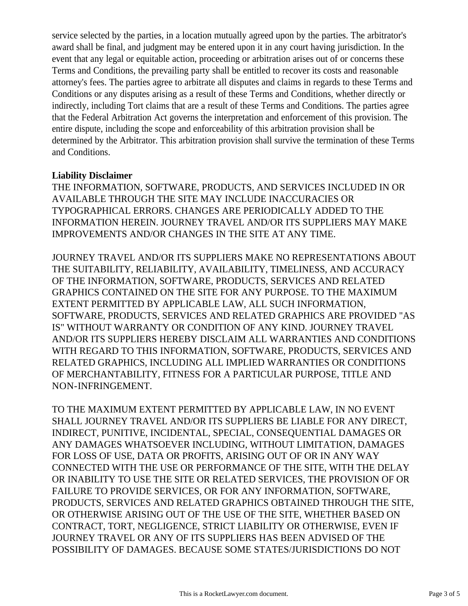service selected by the parties, in a location mutually agreed upon by the parties. The arbitrator's award shall be final, and judgment may be entered upon it in any court having jurisdiction. In the event that any legal or equitable action, proceeding or arbitration arises out of or concerns these Terms and Conditions, the prevailing party shall be entitled to recover its costs and reasonable attorney's fees. The parties agree to arbitrate all disputes and claims in regards to these Terms and Conditions or any disputes arising as a result of these Terms and Conditions, whether directly or indirectly, including Tort claims that are a result of these Terms and Conditions. The parties agree that the Federal Arbitration Act governs the interpretation and enforcement of this provision. The entire dispute, including the scope and enforceability of this arbitration provision shall be determined by the Arbitrator. This arbitration provision shall survive the termination of these Terms and Conditions.

## **Liability Disclaimer**

THE INFORMATION, SOFTWARE, PRODUCTS, AND SERVICES INCLUDED IN OR AVAILABLE THROUGH THE SITE MAY INCLUDE INACCURACIES OR TYPOGRAPHICAL ERRORS. CHANGES ARE PERIODICALLY ADDED TO THE INFORMATION HEREIN. JOURNEY TRAVEL AND/OR ITS SUPPLIERS MAY MAKE IMPROVEMENTS AND/OR CHANGES IN THE SITE AT ANY TIME.

JOURNEY TRAVEL AND/OR ITS SUPPLIERS MAKE NO REPRESENTATIONS ABOUT THE SUITABILITY, RELIABILITY, AVAILABILITY, TIMELINESS, AND ACCURACY OF THE INFORMATION, SOFTWARE, PRODUCTS, SERVICES AND RELATED GRAPHICS CONTAINED ON THE SITE FOR ANY PURPOSE. TO THE MAXIMUM EXTENT PERMITTED BY APPLICABLE LAW, ALL SUCH INFORMATION, SOFTWARE, PRODUCTS, SERVICES AND RELATED GRAPHICS ARE PROVIDED "AS IS" WITHOUT WARRANTY OR CONDITION OF ANY KIND. JOURNEY TRAVEL AND/OR ITS SUPPLIERS HEREBY DISCLAIM ALL WARRANTIES AND CONDITIONS WITH REGARD TO THIS INFORMATION, SOFTWARE, PRODUCTS, SERVICES AND RELATED GRAPHICS, INCLUDING ALL IMPLIED WARRANTIES OR CONDITIONS OF MERCHANTABILITY, FITNESS FOR A PARTICULAR PURPOSE, TITLE AND NON-INFRINGEMENT.

TO THE MAXIMUM EXTENT PERMITTED BY APPLICABLE LAW, IN NO EVENT SHALL JOURNEY TRAVEL AND/OR ITS SUPPLIERS BE LIABLE FOR ANY DIRECT, INDIRECT, PUNITIVE, INCIDENTAL, SPECIAL, CONSEQUENTIAL DAMAGES OR ANY DAMAGES WHATSOEVER INCLUDING, WITHOUT LIMITATION, DAMAGES FOR LOSS OF USE, DATA OR PROFITS, ARISING OUT OF OR IN ANY WAY CONNECTED WITH THE USE OR PERFORMANCE OF THE SITE, WITH THE DELAY OR INABILITY TO USE THE SITE OR RELATED SERVICES, THE PROVISION OF OR FAILURE TO PROVIDE SERVICES, OR FOR ANY INFORMATION, SOFTWARE, PRODUCTS, SERVICES AND RELATED GRAPHICS OBTAINED THROUGH THE SITE, OR OTHERWISE ARISING OUT OF THE USE OF THE SITE, WHETHER BASED ON CONTRACT, TORT, NEGLIGENCE, STRICT LIABILITY OR OTHERWISE, EVEN IF JOURNEY TRAVEL OR ANY OF ITS SUPPLIERS HAS BEEN ADVISED OF THE POSSIBILITY OF DAMAGES. BECAUSE SOME STATES/JURISDICTIONS DO NOT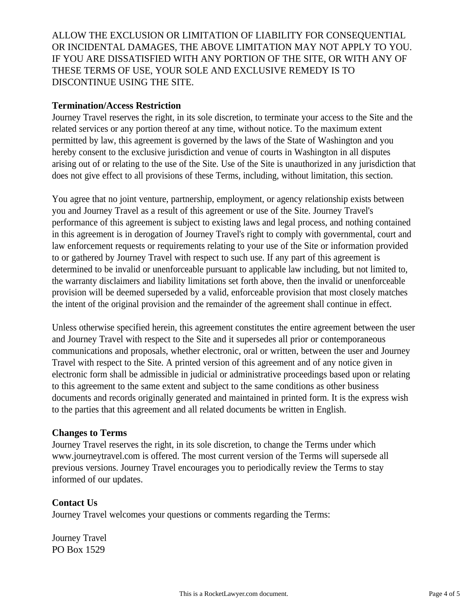ALLOW THE EXCLUSION OR LIMITATION OF LIABILITY FOR CONSEQUENTIAL OR INCIDENTAL DAMAGES, THE ABOVE LIMITATION MAY NOT APPLY TO YOU. IF YOU ARE DISSATISFIED WITH ANY PORTION OF THE SITE, OR WITH ANY OF THESE TERMS OF USE, YOUR SOLE AND EXCLUSIVE REMEDY IS TO DISCONTINUE USING THE SITE.

#### **Termination/Access Restriction**

Journey Travel reserves the right, in its sole discretion, to terminate your access to the Site and the related services or any portion thereof at any time, without notice. To the maximum extent permitted by law, this agreement is governed by the laws of the State of Washington and you hereby consent to the exclusive jurisdiction and venue of courts in Washington in all disputes arising out of or relating to the use of the Site. Use of the Site is unauthorized in any jurisdiction that does not give effect to all provisions of these Terms, including, without limitation, this section.

You agree that no joint venture, partnership, employment, or agency relationship exists between you and Journey Travel as a result of this agreement or use of the Site. Journey Travel's performance of this agreement is subject to existing laws and legal process, and nothing contained in this agreement is in derogation of Journey Travel's right to comply with governmental, court and law enforcement requests or requirements relating to your use of the Site or information provided to or gathered by Journey Travel with respect to such use. If any part of this agreement is determined to be invalid or unenforceable pursuant to applicable law including, but not limited to, the warranty disclaimers and liability limitations set forth above, then the invalid or unenforceable provision will be deemed superseded by a valid, enforceable provision that most closely matches the intent of the original provision and the remainder of the agreement shall continue in effect.

Unless otherwise specified herein, this agreement constitutes the entire agreement between the user and Journey Travel with respect to the Site and it supersedes all prior or contemporaneous communications and proposals, whether electronic, oral or written, between the user and Journey Travel with respect to the Site. A printed version of this agreement and of any notice given in electronic form shall be admissible in judicial or administrative proceedings based upon or relating to this agreement to the same extent and subject to the same conditions as other business documents and records originally generated and maintained in printed form. It is the express wish to the parties that this agreement and all related documents be written in English.

# **Changes to Terms**

Journey Travel reserves the right, in its sole discretion, to change the Terms under which www.journeytravel.com is offered. The most current version of the Terms will supersede all previous versions. Journey Travel encourages you to periodically review the Terms to stay informed of our updates.

# **Contact Us**

Journey Travel welcomes your questions or comments regarding the Terms:

Journey Travel PO Box 1529